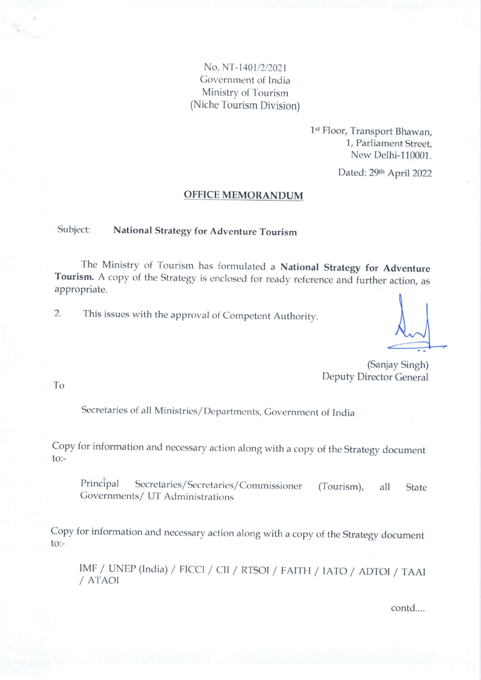No. NT-1401/2/2021 Government of India Ministry of Tourism (Niche Tourism Division)

> 1st Floor, Transport Bhawan, 1, Parliament Street, New Delhi-110001.

> > Dated: 29th April 2022

## OFFICE MEMORANDUM

#### Subject: National Strategy for Adventure Tourism

The Ministry of Tourism has formulated a National Strategy for Adventure Tourism. A copy of the Strategy is enclosed for ready reference and further action, as appropriate.

2. This issues with the approval of Competent Authority.

\  $x^{\prime}$ 

(Sanjay Singh) To Deputy Director General

Secretaries of all Ministries/ Departments, Government of India

Copy for information and necessary action along with a copy of the Strategy document to:-

Principal Secretaries/ Secretaries/ Commissioner (Tourism), all State Governments/ UT Administrations

Copy for information and necessary action along with a copy of the Strategy document to:-

IMF / UNEP (India) / FICCI / CII / RTSOI / FAITH / IATO / ADTOI / TAAI / ATAOI

contd....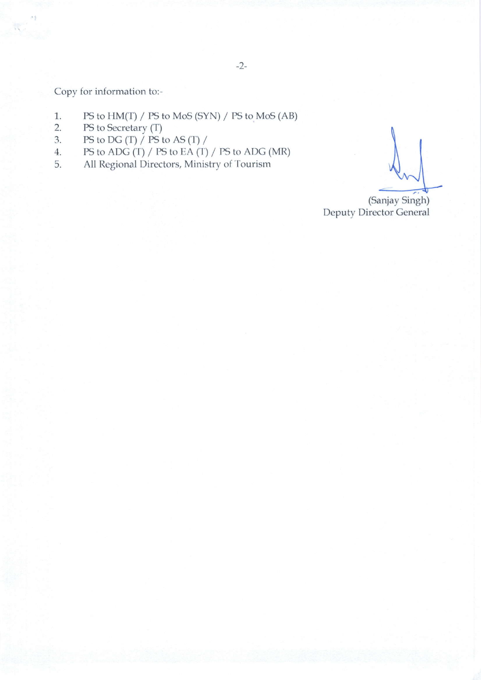Copy for information to:-

- 1.  $PS$  to  $HM(T)$  /  $PS$  to MoS (SYN) /  $PS$  to MoS (AB)<br>2.  $PS$  to Secretary (T)
- 2. PS to Secretary (T)<br>3. PS to DG (T) / PS t
- 3. PS to DG (T)  $/$  PS to AS (T)  $/$ <br>4. PS to ADG (T)  $/$  PS to EA (T)
- 4. PS to ADG  $(T)$  / PS to EA  $(T)$  / PS to ADG (MR)<br>5. All Regional Directors, Ministry of Tourism
- All Regional Directors, Ministry of Tourism

(Sanjay Singh) Deputy Director General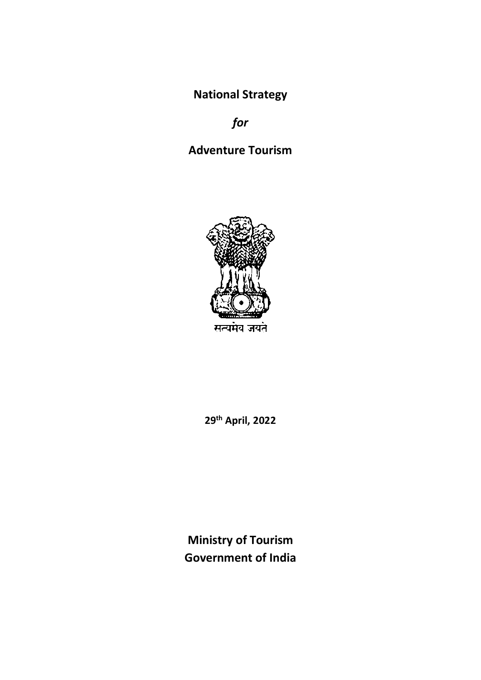**National Strategy**

*for*

# **Adventure Tourism**



**29th April, 2022**

**Ministry of Tourism Government of India**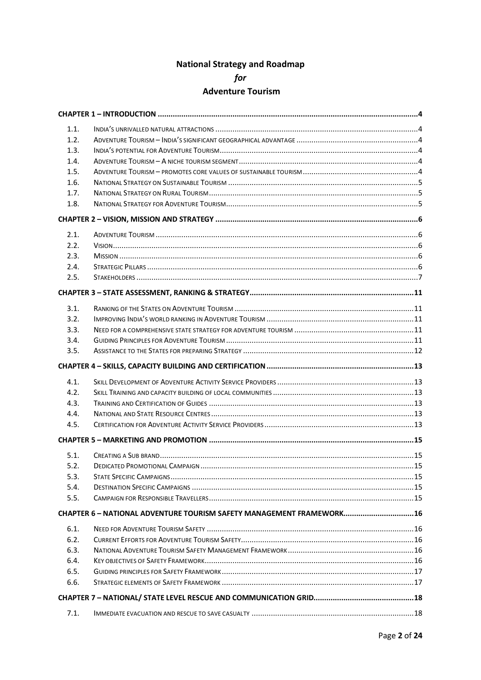## **National Strategy and Roadmap**

for

## **Adventure Tourism**

| 1.1.         |                                                                      |  |  |
|--------------|----------------------------------------------------------------------|--|--|
| 1.2.         |                                                                      |  |  |
| 1.3.         |                                                                      |  |  |
| 1.4.         |                                                                      |  |  |
| 1.5.         |                                                                      |  |  |
| 1.6.         |                                                                      |  |  |
| 1.7.         |                                                                      |  |  |
| 1.8.         |                                                                      |  |  |
|              |                                                                      |  |  |
| 2.1.         |                                                                      |  |  |
| 2.2.         |                                                                      |  |  |
| 2.3.         |                                                                      |  |  |
| 2.4.         |                                                                      |  |  |
| 2.5.         |                                                                      |  |  |
|              |                                                                      |  |  |
| 3.1.         |                                                                      |  |  |
| 3.2.         |                                                                      |  |  |
| 3.3.         |                                                                      |  |  |
| 3.4.         |                                                                      |  |  |
| 3.5.         |                                                                      |  |  |
|              |                                                                      |  |  |
| 4.1.         |                                                                      |  |  |
| 4.2.         |                                                                      |  |  |
| 4.3.         |                                                                      |  |  |
| 4.4.         |                                                                      |  |  |
| 4.5.         |                                                                      |  |  |
|              |                                                                      |  |  |
| 5.1.         |                                                                      |  |  |
| 5.2.         |                                                                      |  |  |
| 5.3.         |                                                                      |  |  |
| 5.4.         |                                                                      |  |  |
| 5.5.         |                                                                      |  |  |
|              | CHAPTER 6 - NATIONAL ADVENTURE TOURISM SAFETY MANAGEMENT FRAMEWORK16 |  |  |
|              |                                                                      |  |  |
| 6.1.         |                                                                      |  |  |
| 6.2.<br>6.3. |                                                                      |  |  |
| 6.4.         |                                                                      |  |  |
| 6.5.         |                                                                      |  |  |
| 6.6.         |                                                                      |  |  |
|              |                                                                      |  |  |
|              |                                                                      |  |  |
| 7.1.         |                                                                      |  |  |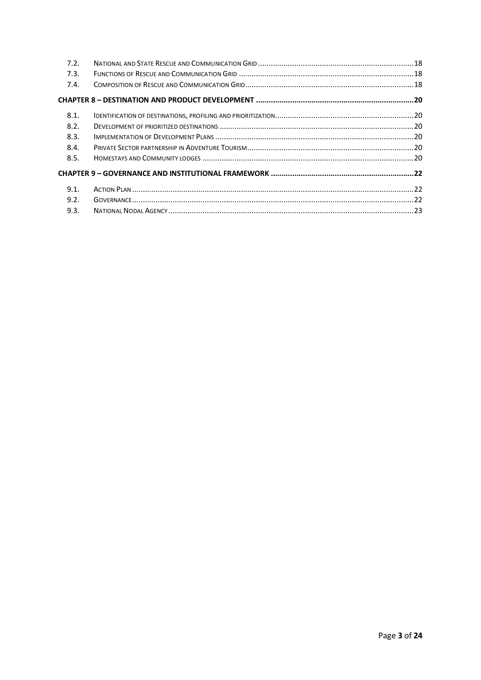| 7.2.<br>7.3.<br>7.4. |  |  |  |
|----------------------|--|--|--|
|                      |  |  |  |
| 8.1.                 |  |  |  |
| 8.2.                 |  |  |  |
| 8.3.                 |  |  |  |
| 8.4.                 |  |  |  |
| 8.5.                 |  |  |  |
|                      |  |  |  |
| 9.1.                 |  |  |  |
| 9.2.                 |  |  |  |
| 9.3.                 |  |  |  |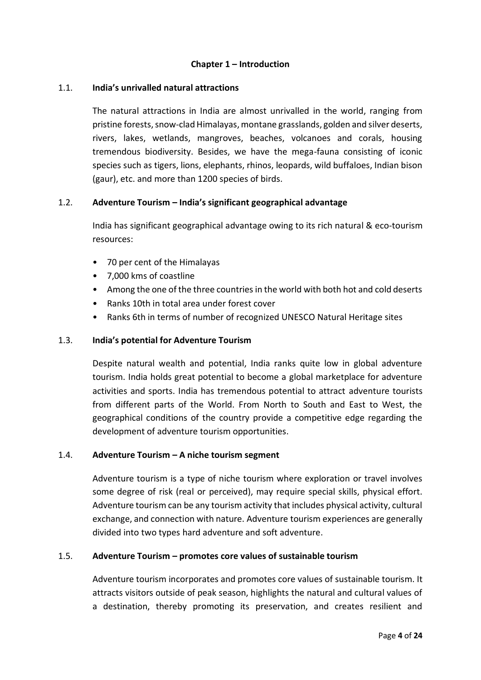## **Chapter 1 – Introduction**

#### <span id="page-5-0"></span>1.1. **India's unrivalled natural attractions**

<span id="page-5-1"></span>The natural attractions in India are almost unrivalled in the world, ranging from pristine forests, snow-clad Himalayas, montane grasslands, golden and silver deserts, rivers, lakes, wetlands, mangroves, beaches, volcanoes and corals, housing tremendous biodiversity. Besides, we have the mega-fauna consisting of iconic species such as tigers, lions, elephants, rhinos, leopards, wild buffaloes, Indian bison (gaur), etc. and more than 1200 species of birds.

## <span id="page-5-2"></span>1.2. **Adventure Tourism – India's significant geographical advantage**

India has significant geographical advantage owing to its rich natural & eco-tourism resources:

- 70 per cent of the Himalayas
- 7,000 kms of coastline
- Among the one of the three countries in the world with both hot and cold deserts
- Ranks 10th in total area under forest cover
- Ranks 6th in terms of number of recognized UNESCO Natural Heritage sites

#### <span id="page-5-3"></span>1.3. **India's potential for Adventure Tourism**

Despite natural wealth and potential, India ranks quite low in global adventure tourism. India holds great potential to become a global marketplace for adventure activities and sports. India has tremendous potential to attract adventure tourists from different parts of the World. From North to South and East to West, the geographical conditions of the country provide a competitive edge regarding the development of adventure tourism opportunities.

#### <span id="page-5-4"></span>1.4. **Adventure Tourism – A niche tourism segment**

Adventure tourism is a type of niche tourism where exploration or travel involves some degree of risk (real or perceived), may require special skills, physical effort. Adventure tourism can be any tourism activity that includes physical activity, cultural exchange, and connection with nature. Adventure tourism experiences are generally divided into two types hard adventure and soft adventure.

#### <span id="page-5-5"></span>1.5. **Adventure Tourism – promotes core values of sustainable tourism**

Adventure tourism incorporates and promotes core values of sustainable tourism. It attracts visitors outside of peak season, highlights the natural and cultural values of a destination, thereby promoting its preservation, and creates resilient and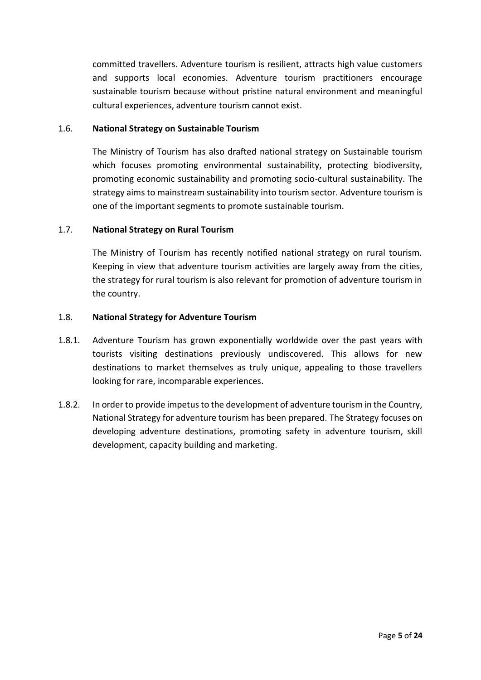committed travellers. Adventure tourism is resilient, attracts high value customers and supports local economies. Adventure tourism practitioners encourage sustainable tourism because without pristine natural environment and meaningful cultural experiences, adventure tourism cannot exist.

#### <span id="page-6-0"></span>1.6. **National Strategy on Sustainable Tourism**

The Ministry of Tourism has also drafted national strategy on Sustainable tourism which focuses promoting environmental sustainability, protecting biodiversity, promoting economic sustainability and promoting socio-cultural sustainability. The strategy aims to mainstream sustainability into tourism sector. Adventure tourism is one of the important segments to promote sustainable tourism.

## <span id="page-6-1"></span>1.7. **National Strategy on Rural Tourism**

The Ministry of Tourism has recently notified national strategy on rural tourism. Keeping in view that adventure tourism activities are largely away from the cities, the strategy for rural tourism is also relevant for promotion of adventure tourism in the country.

## <span id="page-6-2"></span>1.8. **National Strategy for Adventure Tourism**

- 1.8.1. Adventure Tourism has grown exponentially worldwide over the past years with tourists visiting destinations previously undiscovered. This allows for new destinations to market themselves as truly unique, appealing to those travellers looking for rare, incomparable experiences.
- 1.8.2. In order to provide impetus to the development of adventure tourism in the Country, National Strategy for adventure tourism has been prepared. The Strategy focuses on developing adventure destinations, promoting safety in adventure tourism, skill development, capacity building and marketing.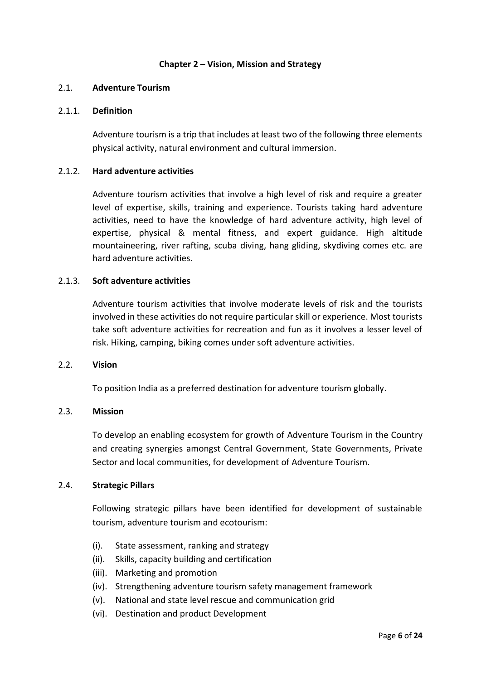#### **Chapter 2 – Vision, Mission and Strategy**

#### <span id="page-7-1"></span><span id="page-7-0"></span>2.1. **Adventure Tourism**

#### 2.1.1. **Definition**

Adventure tourism is a trip that includes at least two of the following three elements physical activity, natural environment and cultural immersion.

#### 2.1.2. **Hard adventure activities**

Adventure tourism activities that involve a high level of risk and require a greater level of expertise, skills, training and experience. Tourists taking hard adventure activities, need to have the knowledge of hard adventure activity, high level of expertise, physical & mental fitness, and expert guidance. High altitude mountaineering, river rafting, scuba diving, hang gliding, skydiving comes etc. are hard adventure activities.

#### 2.1.3. **Soft adventure activities**

Adventure tourism activities that involve moderate levels of risk and the tourists involved in these activities do not require particular skill or experience. Most tourists take soft adventure activities for recreation and fun as it involves a lesser level of risk. Hiking, camping, biking comes under soft adventure activities.

#### <span id="page-7-2"></span>2.2. **Vision**

To position India as a preferred destination for adventure tourism globally.

#### <span id="page-7-3"></span>2.3. **Mission**

To develop an enabling ecosystem for growth of Adventure Tourism in the Country and creating synergies amongst Central Government, State Governments, Private Sector and local communities, for development of Adventure Tourism.

#### <span id="page-7-4"></span>2.4. **Strategic Pillars**

Following strategic pillars have been identified for development of sustainable tourism, adventure tourism and ecotourism:

- (i). State assessment, ranking and strategy
- (ii). Skills, capacity building and certification
- (iii). Marketing and promotion
- (iv). Strengthening adventure tourism safety management framework
- (v). National and state level rescue and communication grid
- (vi). Destination and product Development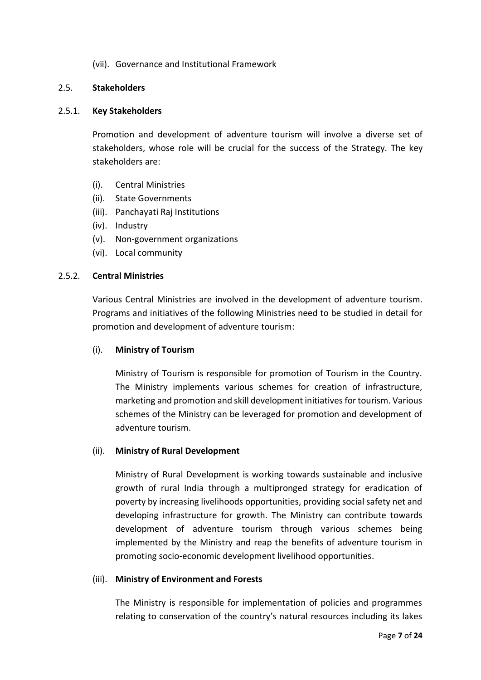#### (vii). Governance and Institutional Framework

#### <span id="page-8-0"></span>2.5. **Stakeholders**

#### 2.5.1. **Key Stakeholders**

Promotion and development of adventure tourism will involve a diverse set of stakeholders, whose role will be crucial for the success of the Strategy. The key stakeholders are:

- (i). Central Ministries
- (ii). State Governments
- (iii). Panchayati Raj Institutions
- (iv). Industry
- (v). Non-government organizations
- (vi). Local community

## 2.5.2. **Central Ministries**

Various Central Ministries are involved in the development of adventure tourism. Programs and initiatives of the following Ministries need to be studied in detail for promotion and development of adventure tourism:

## (i). **Ministry of Tourism**

Ministry of Tourism is responsible for promotion of Tourism in the Country. The Ministry implements various schemes for creation of infrastructure, marketing and promotion and skill development initiatives for tourism. Various schemes of the Ministry can be leveraged for promotion and development of adventure tourism.

## (ii). **Ministry of Rural Development**

Ministry of Rural Development is working towards sustainable and inclusive growth of rural India through a multipronged strategy for eradication of poverty by increasing livelihoods opportunities, providing social safety net and developing infrastructure for growth. The Ministry can contribute towards development of adventure tourism through various schemes being implemented by the Ministry and reap the benefits of adventure tourism in promoting socio-economic development livelihood opportunities.

#### (iii). **Ministry of Environment and Forests**

The Ministry is responsible for implementation of policies and programmes relating to conservation of the country's natural resources including its lakes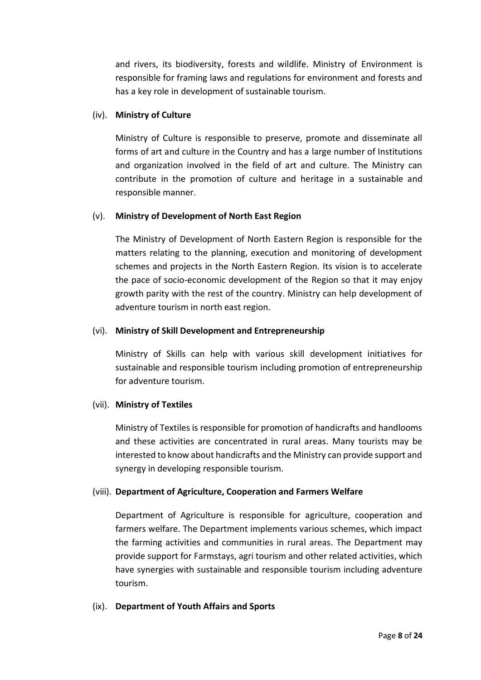and rivers, its biodiversity, forests and wildlife. Ministry of Environment is responsible for framing laws and regulations for environment and forests and has a key role in development of sustainable tourism.

## (iv). **Ministry of Culture**

Ministry of Culture is responsible to preserve, promote and disseminate all forms of art and culture in the Country and has a large number of Institutions and organization involved in the field of art and culture. The Ministry can contribute in the promotion of culture and heritage in a sustainable and responsible manner.

## (v). **Ministry of Development of North East Region**

The Ministry of Development of North Eastern Region is responsible for the matters relating to the planning, execution and monitoring of development schemes and projects in the North Eastern Region. Its vision is to accelerate the pace of socio-economic development of the Region so that it may enjoy growth parity with the rest of the country. Ministry can help development of adventure tourism in north east region.

## (vi). **Ministry of Skill Development and Entrepreneurship**

Ministry of Skills can help with various skill development initiatives for sustainable and responsible tourism including promotion of entrepreneurship for adventure tourism.

#### (vii). **Ministry of Textiles**

Ministry of Textiles is responsible for promotion of handicrafts and handlooms and these activities are concentrated in rural areas. Many tourists may be interested to know about handicrafts and the Ministry can provide support and synergy in developing responsible tourism.

#### (viii). **Department of Agriculture, Cooperation and Farmers Welfare**

Department of Agriculture is responsible for agriculture, cooperation and farmers welfare. The Department implements various schemes, which impact the farming activities and communities in rural areas. The Department may provide support for Farmstays, agri tourism and other related activities, which have synergies with sustainable and responsible tourism including adventure tourism.

## (ix). **Department of Youth Affairs and Sports**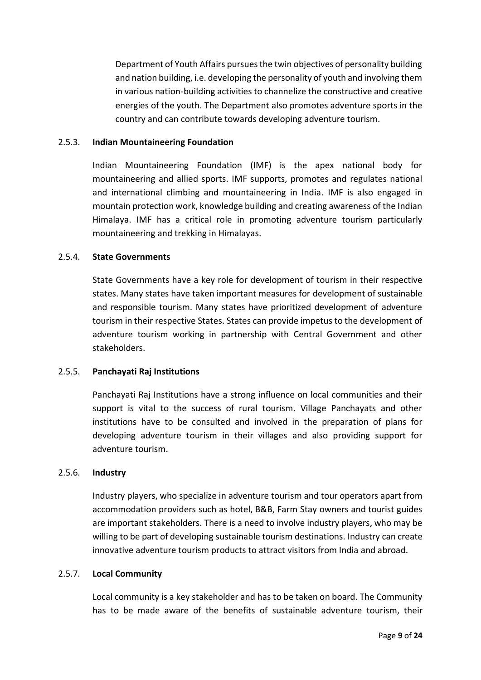Department of Youth Affairs pursues the twin objectives of personality building and nation building, i.e. developing the personality of youth and involving them in various nation-building activities to channelize the constructive and creative energies of the youth. The Department also promotes adventure sports in the country and can contribute towards developing adventure tourism.

#### 2.5.3. **Indian Mountaineering Foundation**

Indian Mountaineering Foundation (IMF) is the apex national body for mountaineering and allied sports. IMF supports, promotes and regulates national and international climbing and mountaineering in India. IMF is also engaged in mountain protection work, knowledge building and creating awareness of the Indian Himalaya. IMF has a critical role in promoting adventure tourism particularly mountaineering and trekking in Himalayas.

#### 2.5.4. **State Governments**

State Governments have a key role for development of tourism in their respective states. Many states have taken important measures for development of sustainable and responsible tourism. Many states have prioritized development of adventure tourism in their respective States. States can provide impetus to the development of adventure tourism working in partnership with Central Government and other stakeholders.

#### 2.5.5. **Panchayati Raj Institutions**

Panchayati Raj Institutions have a strong influence on local communities and their support is vital to the success of rural tourism. Village Panchayats and other institutions have to be consulted and involved in the preparation of plans for developing adventure tourism in their villages and also providing support for adventure tourism.

#### 2.5.6. **Industry**

Industry players, who specialize in adventure tourism and tour operators apart from accommodation providers such as hotel, B&B, Farm Stay owners and tourist guides are important stakeholders. There is a need to involve industry players, who may be willing to be part of developing sustainable tourism destinations. Industry can create innovative adventure tourism products to attract visitors from India and abroad.

#### 2.5.7. **Local Community**

Local community is a key stakeholder and has to be taken on board. The Community has to be made aware of the benefits of sustainable adventure tourism, their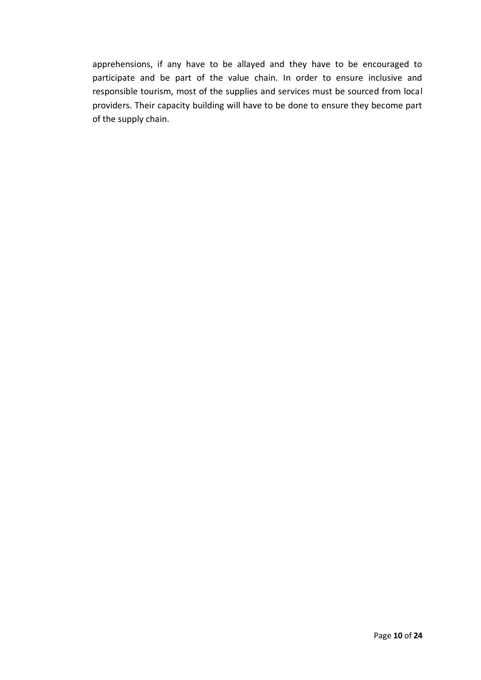apprehensions, if any have to be allayed and they have to be encouraged to participate and be part of the value chain. In order to ensure inclusive and responsible tourism, most of the supplies and services must be sourced from local providers. Their capacity building will have to be done to ensure they become part of the supply chain.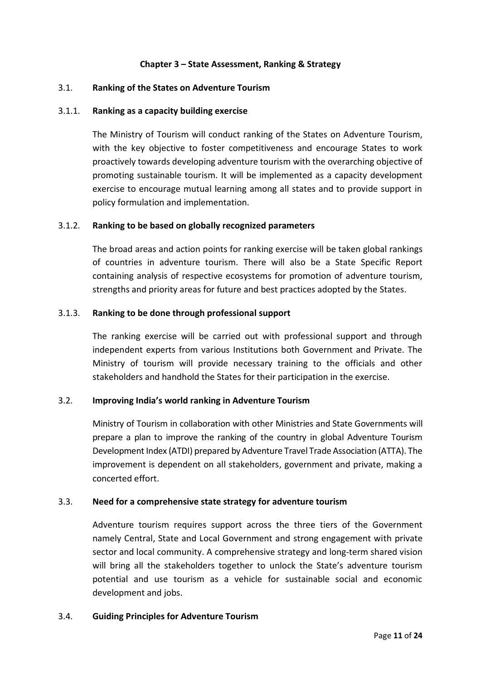#### **Chapter 3 – State Assessment, Ranking & Strategy**

#### <span id="page-12-1"></span><span id="page-12-0"></span>3.1. **Ranking of the States on Adventure Tourism**

#### 3.1.1. **Ranking as a capacity building exercise**

The Ministry of Tourism will conduct ranking of the States on Adventure Tourism, with the key objective to foster competitiveness and encourage States to work proactively towards developing adventure tourism with the overarching objective of promoting sustainable tourism. It will be implemented as a capacity development exercise to encourage mutual learning among all states and to provide support in policy formulation and implementation.

## 3.1.2. **Ranking to be based on globally recognized parameters**

The broad areas and action points for ranking exercise will be taken global rankings of countries in adventure tourism. There will also be a State Specific Report containing analysis of respective ecosystems for promotion of adventure tourism, strengths and priority areas for future and best practices adopted by the States.

#### 3.1.3. **Ranking to be done through professional support**

The ranking exercise will be carried out with professional support and through independent experts from various Institutions both Government and Private. The Ministry of tourism will provide necessary training to the officials and other stakeholders and handhold the States for their participation in the exercise.

#### <span id="page-12-2"></span>3.2. **Improving India's world ranking in Adventure Tourism**

Ministry of Tourism in collaboration with other Ministries and State Governments will prepare a plan to improve the ranking of the country in global Adventure Tourism Development Index (ATDI) prepared by Adventure Travel Trade Association (ATTA). The improvement is dependent on all stakeholders, government and private, making a concerted effort.

#### <span id="page-12-3"></span>3.3. **Need for a comprehensive state strategy for adventure tourism**

Adventure tourism requires support across the three tiers of the Government namely Central, State and Local Government and strong engagement with private sector and local community. A comprehensive strategy and long-term shared vision will bring all the stakeholders together to unlock the State's adventure tourism potential and use tourism as a vehicle for sustainable social and economic development and jobs.

#### <span id="page-12-4"></span>3.4. **Guiding Principles for Adventure Tourism**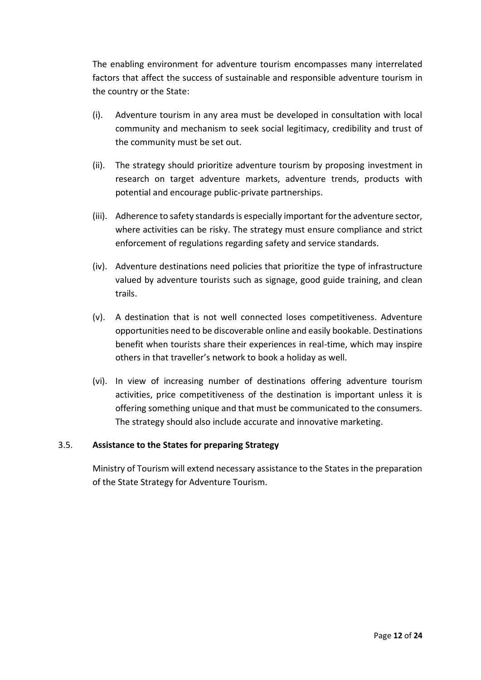The enabling environment for adventure tourism encompasses many interrelated factors that affect the success of sustainable and responsible adventure tourism in the country or the State:

- (i). Adventure tourism in any area must be developed in consultation with local community and mechanism to seek social legitimacy, credibility and trust of the community must be set out.
- (ii). The strategy should prioritize adventure tourism by proposing investment in research on target adventure markets, adventure trends, products with potential and encourage public-private partnerships.
- (iii). Adherence to safety standards is especially important for the adventure sector, where activities can be risky. The strategy must ensure compliance and strict enforcement of regulations regarding safety and service standards.
- (iv). Adventure destinations need policies that prioritize the type of infrastructure valued by adventure tourists such as signage, good guide training, and clean trails.
- (v). A destination that is not well connected loses competitiveness. Adventure opportunities need to be discoverable online and easily bookable. Destinations benefit when tourists share their experiences in real-time, which may inspire others in that traveller's network to book a holiday as well.
- (vi). In view of increasing number of destinations offering adventure tourism activities, price competitiveness of the destination is important unless it is offering something unique and that must be communicated to the consumers. The strategy should also include accurate and innovative marketing.

## <span id="page-13-0"></span>3.5. **Assistance to the States for preparing Strategy**

Ministry of Tourism will extend necessary assistance to the States in the preparation of the State Strategy for Adventure Tourism.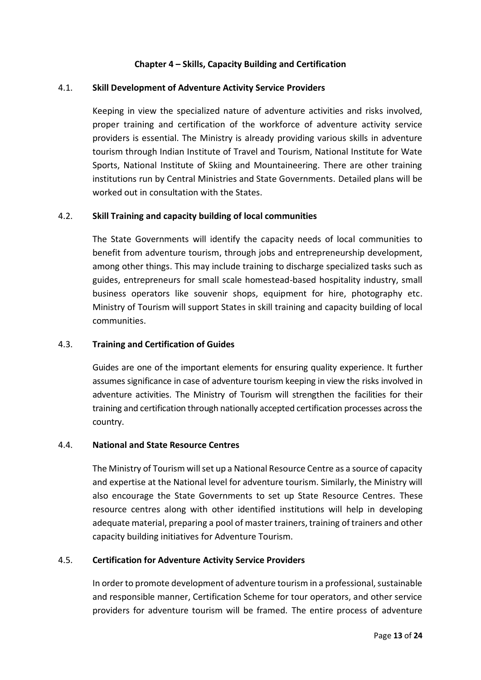## **Chapter 4 – Skills, Capacity Building and Certification**

#### <span id="page-14-0"></span>4.1. **Skill Development of Adventure Activity Service Providers**

<span id="page-14-1"></span>Keeping in view the specialized nature of adventure activities and risks involved, proper training and certification of the workforce of adventure activity service providers is essential. The Ministry is already providing various skills in adventure tourism through Indian Institute of Travel and Tourism, National Institute for Wate Sports, National Institute of Skiing and Mountaineering. There are other training institutions run by Central Ministries and State Governments. Detailed plans will be worked out in consultation with the States.

#### <span id="page-14-2"></span>4.2. **Skill Training and capacity building of local communities**

The State Governments will identify the capacity needs of local communities to benefit from adventure tourism, through jobs and entrepreneurship development, among other things. This may include training to discharge specialized tasks such as guides, entrepreneurs for small scale homestead-based hospitality industry, small business operators like souvenir shops, equipment for hire, photography etc. Ministry of Tourism will support States in skill training and capacity building of local communities.

#### <span id="page-14-3"></span>4.3. **Training and Certification of Guides**

Guides are one of the important elements for ensuring quality experience. It further assumes significance in case of adventure tourism keeping in view the risks involved in adventure activities. The Ministry of Tourism will strengthen the facilities for their training and certification through nationally accepted certification processes across the country.

#### <span id="page-14-4"></span>4.4. **National and State Resource Centres**

The Ministry of Tourism will set up a National Resource Centre as a source of capacity and expertise at the National level for adventure tourism. Similarly, the Ministry will also encourage the State Governments to set up State Resource Centres. These resource centres along with other identified institutions will help in developing adequate material, preparing a pool of master trainers, training of trainers and other capacity building initiatives for Adventure Tourism.

#### <span id="page-14-5"></span>4.5. **Certification for Adventure Activity Service Providers**

In order to promote development of adventure tourism in a professional, sustainable and responsible manner, Certification Scheme for tour operators, and other service providers for adventure tourism will be framed. The entire process of adventure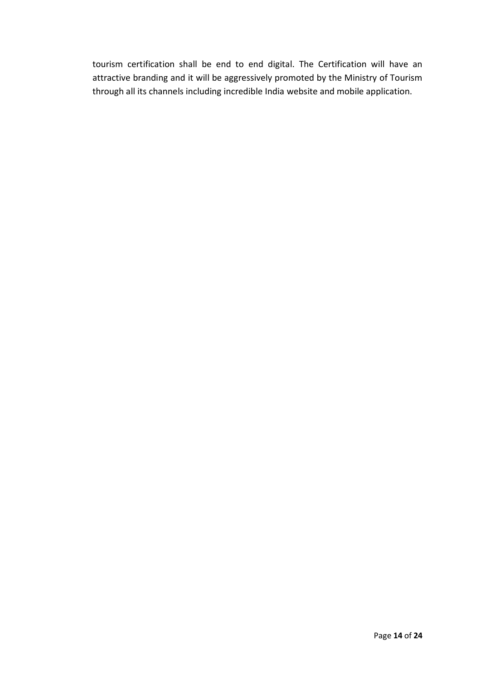tourism certification shall be end to end digital. The Certification will have an attractive branding and it will be aggressively promoted by the Ministry of Tourism through all its channels including incredible India website and mobile application.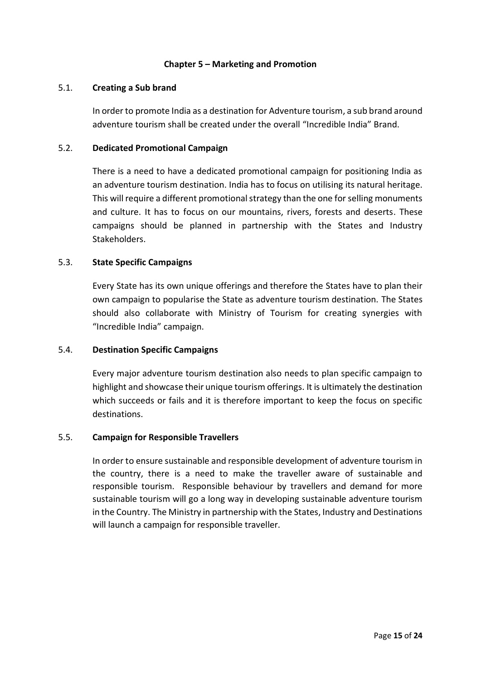#### **Chapter 5 – Marketing and Promotion**

#### <span id="page-16-0"></span>5.1. **Creating a Sub brand**

<span id="page-16-1"></span>In order to promote India as a destination for Adventure tourism, a sub brand around adventure tourism shall be created under the overall "Incredible India" Brand.

#### <span id="page-16-2"></span>5.2. **Dedicated Promotional Campaign**

There is a need to have a dedicated promotional campaign for positioning India as an adventure tourism destination. India has to focus on utilising its natural heritage. This will require a different promotional strategy than the one for selling monuments and culture. It has to focus on our mountains, rivers, forests and deserts. These campaigns should be planned in partnership with the States and Industry Stakeholders.

## <span id="page-16-3"></span>5.3. **State Specific Campaigns**

Every State has its own unique offerings and therefore the States have to plan their own campaign to popularise the State as adventure tourism destination. The States should also collaborate with Ministry of Tourism for creating synergies with "Incredible India" campaign.

#### <span id="page-16-4"></span>5.4. **Destination Specific Campaigns**

Every major adventure tourism destination also needs to plan specific campaign to highlight and showcase their unique tourism offerings. It is ultimately the destination which succeeds or fails and it is therefore important to keep the focus on specific destinations.

#### <span id="page-16-5"></span>5.5. **Campaign for Responsible Travellers**

In order to ensure sustainable and responsible development of adventure tourism in the country, there is a need to make the traveller aware of sustainable and responsible tourism. Responsible behaviour by travellers and demand for more sustainable tourism will go a long way in developing sustainable adventure tourism in the Country. The Ministry in partnership with the States, Industry and Destinations will launch a campaign for responsible traveller.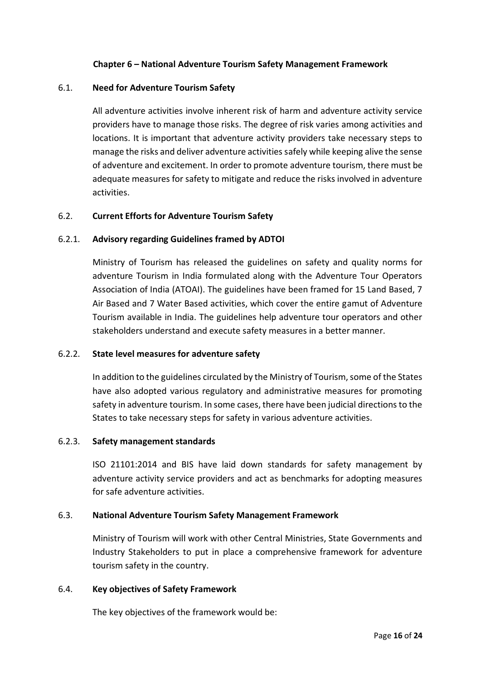#### <span id="page-17-1"></span>**Chapter 6 – National Adventure Tourism Safety Management Framework**

#### <span id="page-17-0"></span>6.1. **Need for Adventure Tourism Safety**

All adventure activities involve inherent risk of harm and adventure activity service providers have to manage those risks. The degree of risk varies among activities and locations. It is important that adventure activity providers take necessary steps to manage the risks and deliver adventure activities safely while keeping alive the sense of adventure and excitement. In order to promote adventure tourism, there must be adequate measures for safety to mitigate and reduce the risks involved in adventure activities.

#### <span id="page-17-2"></span>6.2. **Current Efforts for Adventure Tourism Safety**

#### 6.2.1. **Advisory regarding Guidelines framed by ADTOI**

Ministry of Tourism has released the guidelines on safety and quality norms for adventure Tourism in India formulated along with the Adventure Tour Operators Association of India (ATOAI). The guidelines have been framed for 15 Land Based, 7 Air Based and 7 Water Based activities, which cover the entire gamut of Adventure Tourism available in India. The guidelines help adventure tour operators and other stakeholders understand and execute safety measures in a better manner.

#### 6.2.2. **State level measures for adventure safety**

In addition to the guidelines circulated by the Ministry of Tourism, some of the States have also adopted various regulatory and administrative measures for promoting safety in adventure tourism. In some cases, there have been judicial directions to the States to take necessary steps for safety in various adventure activities.

#### 6.2.3. **Safety management standards**

ISO 21101:2014 and BIS have laid down standards for safety management by adventure activity service providers and act as benchmarks for adopting measures for safe adventure activities.

#### <span id="page-17-3"></span>6.3. **National Adventure Tourism Safety Management Framework**

Ministry of Tourism will work with other Central Ministries, State Governments and Industry Stakeholders to put in place a comprehensive framework for adventure tourism safety in the country.

#### <span id="page-17-4"></span>6.4. **Key objectives of Safety Framework**

The key objectives of the framework would be: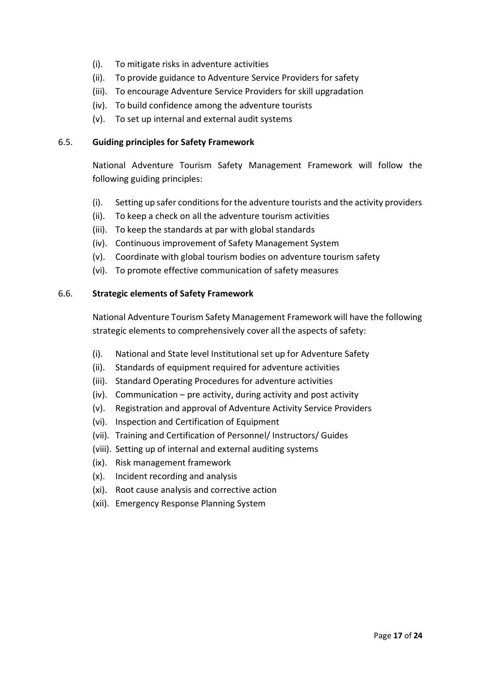- (i). To mitigate risks in adventure activities
- (ii). To provide guidance to Adventure Service Providers for safety
- (iii). To encourage Adventure Service Providers for skill upgradation
- (iv). To build confidence among the adventure tourists
- (v). To set up internal and external audit systems

#### <span id="page-18-0"></span>6.5. **Guiding principles for Safety Framework**

National Adventure Tourism Safety Management Framework will follow the following guiding principles:

- (i). Setting up safer conditions for the adventure tourists and the activity providers
- (ii). To keep a check on all the adventure tourism activities
- (iii). To keep the standards at par with global standards
- (iv). Continuous improvement of Safety Management System
- (v). Coordinate with global tourism bodies on adventure tourism safety
- (vi). To promote effective communication of safety measures

#### <span id="page-18-1"></span>6.6. **Strategic elements of Safety Framework**

National Adventure Tourism Safety Management Framework will have the following strategic elements to comprehensively cover all the aspects of safety:

- (i). National and State level Institutional set up for Adventure Safety
- (ii). Standards of equipment required for adventure activities
- (iii). Standard Operating Procedures for adventure activities
- (iv). Communication pre activity, during activity and post activity
- (v). Registration and approval of Adventure Activity Service Providers
- (vi). Inspection and Certification of Equipment
- (vii). Training and Certification of Personnel/ Instructors/ Guides
- (viii). Setting up of internal and external auditing systems
- (ix). Risk management framework
- (x). Incident recording and analysis
- (xi). Root cause analysis and corrective action
- (xii). Emergency Response Planning System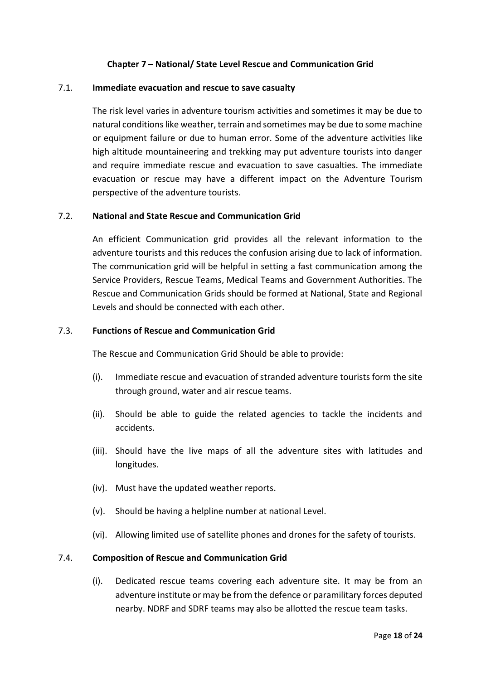## **Chapter 7 – National/ State Level Rescue and Communication Grid**

#### <span id="page-19-0"></span>7.1. **Immediate evacuation and rescue to save casualty**

<span id="page-19-1"></span>The risk level varies in adventure tourism activities and sometimes it may be due to natural conditions like weather, terrain and sometimes may be due to some machine or equipment failure or due to human error. Some of the adventure activities like high altitude mountaineering and trekking may put adventure tourists into danger and require immediate rescue and evacuation to save casualties. The immediate evacuation or rescue may have a different impact on the Adventure Tourism perspective of the adventure tourists.

#### <span id="page-19-2"></span>7.2. **National and State Rescue and Communication Grid**

An efficient Communication grid provides all the relevant information to the adventure tourists and this reduces the confusion arising due to lack of information. The communication grid will be helpful in setting a fast communication among the Service Providers, Rescue Teams, Medical Teams and Government Authorities. The Rescue and Communication Grids should be formed at National, State and Regional Levels and should be connected with each other.

#### <span id="page-19-3"></span>7.3. **Functions of Rescue and Communication Grid**

The Rescue and Communication Grid Should be able to provide:

- (i). Immediate rescue and evacuation of stranded adventure tourists form the site through ground, water and air rescue teams.
- (ii). Should be able to guide the related agencies to tackle the incidents and accidents.
- (iii). Should have the live maps of all the adventure sites with latitudes and longitudes.
- (iv). Must have the updated weather reports.
- (v). Should be having a helpline number at national Level.
- (vi). Allowing limited use of satellite phones and drones for the safety of tourists.

#### <span id="page-19-4"></span>7.4. **Composition of Rescue and Communication Grid**

(i). Dedicated rescue teams covering each adventure site. It may be from an adventure institute or may be from the defence or paramilitary forces deputed nearby. NDRF and SDRF teams may also be allotted the rescue team tasks.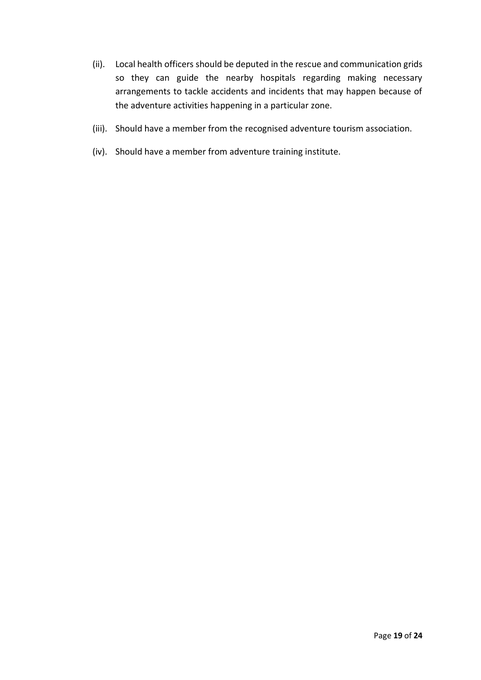- (ii). Local health officers should be deputed in the rescue and communication grids so they can guide the nearby hospitals regarding making necessary arrangements to tackle accidents and incidents that may happen because of the adventure activities happening in a particular zone.
- (iii). Should have a member from the recognised adventure tourism association.
- (iv). Should have a member from adventure training institute.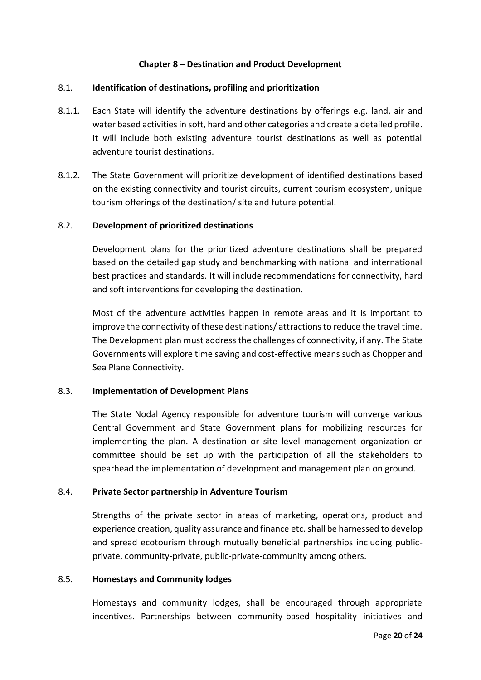## **Chapter 8 – Destination and Product Development**

#### <span id="page-21-1"></span><span id="page-21-0"></span>8.1. **Identification of destinations, profiling and prioritization**

- 8.1.1. Each State will identify the adventure destinations by offerings e.g. land, air and water based activities in soft, hard and other categories and create a detailed profile. It will include both existing adventure tourist destinations as well as potential adventure tourist destinations.
- 8.1.2. The State Government will prioritize development of identified destinations based on the existing connectivity and tourist circuits, current tourism ecosystem, unique tourism offerings of the destination/ site and future potential.

#### <span id="page-21-2"></span>8.2. **Development of prioritized destinations**

Development plans for the prioritized adventure destinations shall be prepared based on the detailed gap study and benchmarking with national and international best practices and standards. It will include recommendations for connectivity, hard and soft interventions for developing the destination.

Most of the adventure activities happen in remote areas and it is important to improve the connectivity of these destinations/ attractions to reduce the travel time. The Development plan must address the challenges of connectivity, if any. The State Governments will explore time saving and cost-effective means such as Chopper and Sea Plane Connectivity.

#### <span id="page-21-3"></span>8.3. **Implementation of Development Plans**

The State Nodal Agency responsible for adventure tourism will converge various Central Government and State Government plans for mobilizing resources for implementing the plan. A destination or site level management organization or committee should be set up with the participation of all the stakeholders to spearhead the implementation of development and management plan on ground.

#### <span id="page-21-4"></span>8.4. **Private Sector partnership in Adventure Tourism**

Strengths of the private sector in areas of marketing, operations, product and experience creation, quality assurance and finance etc. shall be harnessed to develop and spread ecotourism through mutually beneficial partnerships including publicprivate, community-private, public-private-community among others.

#### <span id="page-21-5"></span>8.5. **Homestays and Community lodges**

Homestays and community lodges, shall be encouraged through appropriate incentives. Partnerships between community-based hospitality initiatives and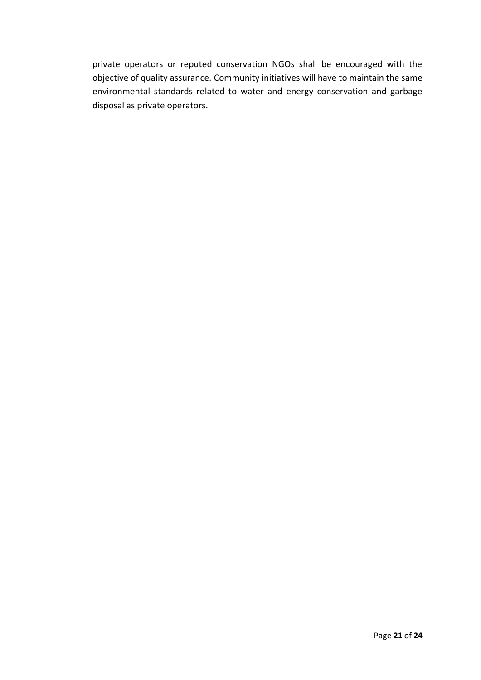private operators or reputed conservation NGOs shall be encouraged with the objective of quality assurance. Community initiatives will have to maintain the same environmental standards related to water and energy conservation and garbage disposal as private operators.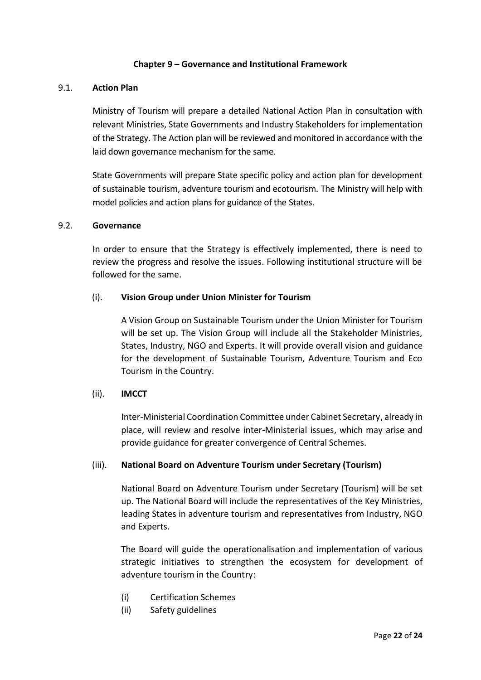## **Chapter 9 – Governance and Institutional Framework**

#### <span id="page-23-0"></span>9.1. **Action Plan**

<span id="page-23-1"></span>Ministry of Tourism will prepare a detailed National Action Plan in consultation with relevant Ministries, State Governments and Industry Stakeholders for implementation of the Strategy. The Action plan will be reviewed and monitored in accordance with the laid down governance mechanism for the same.

State Governments will prepare State specific policy and action plan for development of sustainable tourism, adventure tourism and ecotourism. The Ministry will help with model policies and action plans for guidance of the States.

## <span id="page-23-2"></span>9.2. **Governance**

In order to ensure that the Strategy is effectively implemented, there is need to review the progress and resolve the issues. Following institutional structure will be followed for the same.

#### (i). **Vision Group under Union Minister for Tourism**

A Vision Group on Sustainable Tourism under the Union Minister for Tourism will be set up. The Vision Group will include all the Stakeholder Ministries, States, Industry, NGO and Experts. It will provide overall vision and guidance for the development of Sustainable Tourism, Adventure Tourism and Eco Tourism in the Country.

#### (ii). **IMCCT**

Inter-Ministerial Coordination Committee under Cabinet Secretary, already in place, will review and resolve inter-Ministerial issues, which may arise and provide guidance for greater convergence of Central Schemes.

## (iii). **National Board on Adventure Tourism under Secretary (Tourism)**

National Board on Adventure Tourism under Secretary (Tourism) will be set up. The National Board will include the representatives of the Key Ministries, leading States in adventure tourism and representatives from Industry, NGO and Experts.

The Board will guide the operationalisation and implementation of various strategic initiatives to strengthen the ecosystem for development of adventure tourism in the Country:

- (i) Certification Schemes
- (ii) Safety guidelines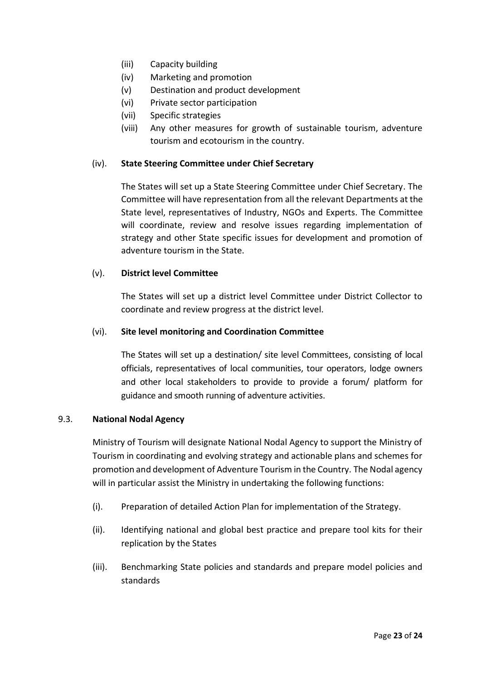- (iii) Capacity building
- (iv) Marketing and promotion
- (v) Destination and product development
- (vi) Private sector participation
- (vii) Specific strategies
- (viii) Any other measures for growth of sustainable tourism, adventure tourism and ecotourism in the country.

#### (iv). **State Steering Committee under Chief Secretary**

The States will set up a State Steering Committee under Chief Secretary. The Committee will have representation from all the relevant Departments at the State level, representatives of Industry, NGOs and Experts. The Committee will coordinate, review and resolve issues regarding implementation of strategy and other State specific issues for development and promotion of adventure tourism in the State.

#### (v). **District level Committee**

The States will set up a district level Committee under District Collector to coordinate and review progress at the district level.

#### (vi). **Site level monitoring and Coordination Committee**

The States will set up a destination/ site level Committees, consisting of local officials, representatives of local communities, tour operators, lodge owners and other local stakeholders to provide to provide a forum/ platform for guidance and smooth running of adventure activities.

#### <span id="page-24-0"></span>9.3. **National Nodal Agency**

Ministry of Tourism will designate National Nodal Agency to support the Ministry of Tourism in coordinating and evolving strategy and actionable plans and schemes for promotion and development of Adventure Tourism in the Country. The Nodal agency will in particular assist the Ministry in undertaking the following functions:

- (i). Preparation of detailed Action Plan for implementation of the Strategy.
- (ii). Identifying national and global best practice and prepare tool kits for their replication by the States
- (iii). Benchmarking State policies and standards and prepare model policies and standards